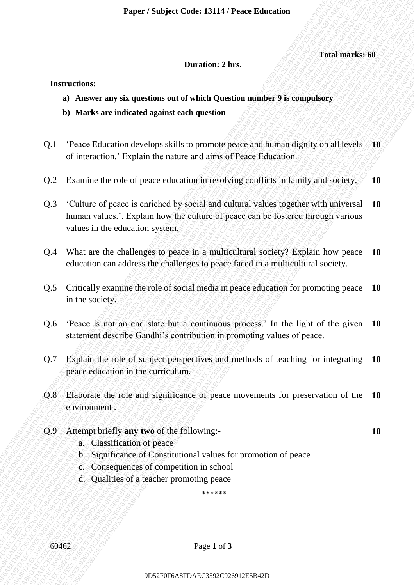**Duration: 2 hrs.**

#### **Total marks: 60**

**10**

#### **Instructions:**

- **a) Answer any six questions out of which Question number 9 is compulsory**
- **b) Marks are indicated against each question**
- Q.1 'Peace Education develops skills to promote peace and human dignity on all levels **10** of interaction.' Explain the nature and aims of Peace Education.
- Q.2 Examine the role of peace education in resolving conflicts in family and society. **10**
- **Durations:**<br> **Durations: D** A More and seconds the control of the Chemical Case of the Chemical Case of the Case of the Case of the Case of the Case of the Case of the Case of the Case of the Case of the Case of the Ca **Darations: Darations: 2AS.**<br> **a)** Awerton any six questions on the shift Question manufact 9 is computiony<br> **b)** Marks are indicated against each question<br>
of the tractical develops skill to promote pace and duration 9 superior to track is a constraint in Comparison of The Comparison of The Mark Comparison of the Comparison of the Comparison of the Comparison of the Comparison of the Compacing CSS 19 of the Conceleration decrease and Paper / Studyect Cone: 33114 / Peace *Konstantinus*<br>
10 Answer any six equations out of which Onestion number 9 is compulsory<br>
10 Answer any six equations out of which Onestical number 9 is compulsory<br>
10 1 Peace Follomia Paper / Subject Code: E1114 / Pacer Education<br>
a) Answer any six questions out of which Question number 9 is computency<br>
b) Morks are indicated against onch question<br>
Q1. Peace indicated against onch question increases a Puper / Subject Code LV14 / Punce Education<br>
20 ABS-vers any als questions out of which Question<br>
20 ABS-vers any als questions out of which Question<br>
20 ABS-vers any also questions of the state of pulse form of these dia **Paper / Subject Code: L3141/ Prace Education**<br>
9D Americanne **Drawing Context** Context Context Context Context Context Context Context Context Context Context Context Context Context Context Context Context Context Conte Paper / Subject Code: 13114 / Pence <sup>13</sup>DBA markes 60<br>
Durations 2.1 best and the state of the state of the state of the state of the state of the state of the state of the state of the state of the state of the state of Paper / Subject Code: 13114 / Pence <sup>13</sup>DBA markes 60<br>
Durations 2.1 best and the state of the state of the state of the state of the state of the state of the state of the state of the state of the state of the state of Paper / Subject Code: 13114 / Pence <sup>13</sup>DBA markes 60<br>
Durations 2.1 best and the state of the state of the state of the state of the state of the state of the state of the state of the state of the state of the state of Paper / Subject Code: 13114 / Pence <sup>13</sup>DBA markes 60<br>
Durations 2.1 best and the state of the state of the state of the state of the state of the state of the state of the state of the state of the state of the state of Paper / Subject Code: 13114 / Pence <sup>13</sup>DBA markes 60<br>
Durations 2.1 best and the state of the state of the state of the state of the state of the state of the state of the state of the state of the state of the state of Paper / Subject Code: 13114 / Peace Education<br>
10 Associates and a Christian Sched Question<br>
10 Associates are tradicted against oncid of votels. Duration similar peace is a compute of the state of the state of the state **Paper / Subject Codes 13114 / Peoce Education**<br> **Durations:**<br> **Durations:**<br> **Durations:**<br> **Durations:**<br> **DUPER CONSECONS** CONSECONS (**D**)<br> **COVERT CONSECONS** CONSECONS (**D**)<br> **COVERT CONSECONS** CONSECONS (**D**)<br> **COVERT C Experiment Statistics Cooler 13114 / Prace Education Cooler Cooler Cooler Cooler Cooler Cooler Cooler Cooler Cooler Cooler Cooler Cooler Cooler Cooler Cooler Cooler Cooler Cooler Cooler Cooler Cooler Cooler Cooler Cooler** Paper / Studyect Code: 13114 / Peace Education<br>
Directories:<br>
19 Answer any six questions out of which Onestian<br>
19 Answer any six questions out of which Onestian<br>
19 A Morek are fundered against each question<br>
19 1 Texto 9D52F0F6A8FDAEC3592C926912E5B42D9D52F0F6A8FDAEC3592C926912E5B42D9D52F0F6A8FDAEC3592C926912E5B42D9D52F0F6A8FDAEC3592C926912E5B42D9D52F0F6A8FDAEC3592C926912E5B42D9D52F0F6A8FDAEC3592C926912E5B42D Paper / Sobject Code: 13114 / Peoce fidencialism<br>
Durations 2<br>
15 Areversion with quantity and the control of the computer of the computer of the computer of the computer of the computer of the computer of the computer of Paper / Subject Code: 13114/ Pauce Relaction<br>
Durations:<br>
16 Americans<br>
16 Americans<br>
16 Americans and the studies of the control of the studies of the studies of the studies of the studies of<br>
2.1. Preace Education develo **Proper / Subject Code: 13114 / Proce Education**<br> **Duration:** 2Des.<br> **Duration:** 2Des.<br> **Duration:** 2Depth **Accelering and Accelering and Accelering and Accelering and Accelering and Accelering and Accelering and Acceleri** Q.3 'Culture of peace is enriched by social and cultural values together with universal human values.'. Explain how the culture of peace can be fostered through various values in the education system. **10**
	- Q.4 What are the challenges to peace in a multicultural society? Explain how peace education can address the challenges to peace faced in a multicultural society. **10**
	- Q.5 Critically examine the role of social media in peace education for promoting peace in the society. **10**
	- Q.6 'Peace is not an end state but a continuous process.' In the light of the given statement describe Gandhi's contribution in promoting values of peace. **10**
	- Q.7 Explain the role of subject perspectives and methods of teaching for integrating peace education in the curriculum. **10**
	- Q.8 Elaborate the role and significance of peace movements for preservation of the environment . **10**
	- Q.9 Attempt briefly **any two** of the following:
		- a. Classification of peace
		- b. Significance of Constitutional values for promotion of peace
		- c. Consequences of competition in school
		- d. Qualities of a teacher promoting peace

60462 Page **1** of **3**

\*\*\*\*\*\*

9D52F0F6A8FDAEC3592C926912E5B42D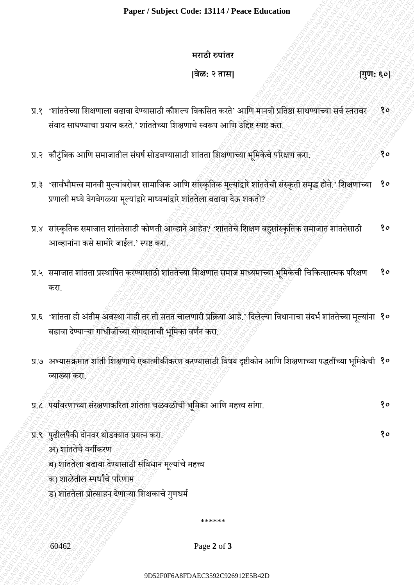### **मराठी रुपाांतर**

**[वेळ: २ तास] [गुण: ६०]**

- प्र.१ 'शांततेच्या शिक्षणाला बढावा देण्यासाठी कौशल्य विकसित करते' आणि मानवी प्रतिष्ठा साधण्याच्या सर्व स्तरावर संवाद साधण्याचा प्रयत्न करते.' शांततेच्या शिक्षणाचे स्वरूप आणि उद्दिष्ट स्पष्ट करा. **१०**
- प्र.२ कौटुंबिक आणि समाजातील संघर्ष सोडवण्यासाठी शांतता शिक्षणाच्या भूमिकेचे परिक्षण करा. *१९५१,१९५१,*१९५१,१०
- प्र.३ 'सार्वभौमत्त्व मानवी मुल्यांबरोबर सामाजिक आणि सांस्कृतिक मूल्यांद्वारे शांततेची संस्कृती समृद्ध होते.' शिक्षणाच्या प्रणाली मध्ये वेगवेगळ्या मूल्यांद्वारे माध्यमांद्वारे शांततेला बढावा देऊ शकतो? **१०**
- प्र.४ सांस्कृतिक समाजात शांततेसाठी कोणती आव्हाने आहेत? 'शांततेचे शिक्षण बहुसांस्कृतिक समाजात शांततेसाठी आव्हानांना कसे सामोरे जाईल.' स्पष्ट करा. **१०**
- प्र.५ समाजात शाांतता प्रस्थाशपत करण्यासाठी शाांततेच्या शशक्षणात समाज माध्यमाच्या भशूमकेची शचशकत्सात्मक पररक्षण करा. **१०**
- प्र.६ 'शांतता ही अंतीम अवस्था नाही तर ती सतत चालणारी प्रक्रिया आहे.' दिलेल्या विधानाचा संदर्भ शांततेच्या मूल्या<mark>ंना १०</mark> बढावा देण्याऱ्या गांधीजींच्या योगदानाची भूमिका वर्णन करा.
- 9D52F0F6A8FDAEC3592C926912E5B42D9D52F0F6A8FDAEC3592C926912E5B42D9D52F0F6A8FDAEC3592C926912E5B42D9D52F0F6A8FDAEC3592C926912E5B42D9D52F0F6A8FDAEC3592C926912E5B42D9D52F0F6A8FDAEC3592C926912E5B42D 9D 9D622<br>9D62<br>9D62 For a control of the state of the state of the state of the state of the state of the state of the state<br>9D62 FD62 C926842 C92612<br>8D62 C926812 C926842 C926842 C92684 C92684 C92684<br>12E5 C926812 C926842 C 9DF6<br>
9DF62<br>
9DF62<br>
9DF62<br>
9DF62<br>
9DF62<br>
9DF62<br>
9DF62<br>
9DF62<br>
9DF62<br>
9DF62<br>
9DF62<br>
9DF62<br>
9DF62<br>
9DF62<br>
9DF62<br>
9DF62<br>
9DF62<br>
9DF62<br>
9DF62<br>
9DF62<br>
9DF62<br>
9DF62<br>
9DF62<br>
9DF62<br>
9DF62<br>
9DF62<br>
9DF62<br>
9DF62<br>
9DF62<br>
9DF62<br>
9DF6 Paper / Studyact Code: 33114 / Pacer Education<br>
wright variet<br>
(1995 8<br>
12 - "Visibilitan Education Varia Control alian Pieter God: Apple and paper light of the stress of the first<br>
22 - अपनियान कारण मुख्याचेक स्थानीय के Paper / Subject Cade: E3114 / Paper Rapy (1995, 5e)<br>
9 Fox 3 Form (1995, 5e)<br>
9 Fox 3 Form (1996) 2007 (1996) 2008 3061 2008 3061 2009 3061 2009 3061<br>
4 Fox 6 Fox 91 September 2008 3061 2009 3061 2009 408 2009 307 2009 30 Puper / Subject Code LN14/ Punce Rabundon<br>
The strategy of the strategy of the strategy of the strategy of the strategy of the strategy of the strategy of the strategy of the strategy of the strategy of the strategy of Paper / Subject Code: 13114/ Prace Education<br>  $\frac{1}{2}$ <br>
929: <br/>Crisis Thursday and contrade circulation (Figure 2.19)<br>
93. Cristing Theoretical Case of the Case of the Case of the Case of the Case of the Case of the C Paper / Subject Code: 13114 / Prace Fabruation<br>  $\begin{bmatrix} 208 & 2688 \\ 108 & 2688 \\ 21 & 2768 \\ 22 & 2886 \\ 23 & 2968 \\ 24 & 2086 \\ 25 & 2968 \\ 26 & 2968 \\ 27 & 2968 \\ 28 & 2968 \\ 29 & 2096 \\ 208 & 2096 \\ 209 & 2096 \\ 209 & 2096 \\ 209 & 2096 \\ 2009 & 209$ Paper / Subject Code: 13114 / Prace Fabruation<br>  $\begin{bmatrix} 208 & 2688 \\ 108 & 2688 \\ 21 & 2768 \\ 22 & 2886 \\ 23 & 2968 \\ 24 & 2086 \\ 25 & 2968 \\ 26 & 2968 \\ 27 & 2968 \\ 28 & 2968 \\ 29 & 2096 \\ 208 & 2096 \\ 209 & 2096 \\ 209 & 2096 \\ 209 & 2096 \\ 2009 & 209$ Paper / Subject Code: 13114 / Prace Fabruation<br>  $\begin{bmatrix} 208 & 2688 \\ 108 & 2688 \\ 21 & 2768 \\ 22 & 2886 \\ 23 & 2968 \\ 24 & 2086 \\ 25 & 2968 \\ 26 & 2968 \\ 27 & 2968 \\ 28 & 2968 \\ 29 & 2096 \\ 208 & 2096 \\ 209 & 2096 \\ 209 & 2096 \\ 209 & 2096 \\ 2009 & 209$ Paper / Subject Code: 13114 / Prace Fabruation<br>  $\begin{bmatrix} 208 & 2688 \\ 108 & 2688 \\ 21 & 2768 \\ 22 & 2886 \\ 23 & 2968 \\ 24 & 2086 \\ 25 & 2968 \\ 26 & 2968 \\ 27 & 2968 \\ 28 & 2968 \\ 29 & 2096 \\ 208 & 2096 \\ 209 & 2096 \\ 209 & 2096 \\ 209 & 2096 \\ 2009 & 209$ Paper / Subject Code: 13114 / Prace Fabruation<br>  $\begin{bmatrix} 208 & 2688 \\ 108 & 2688 \\ 21 & 2768 \\ 22 & 2886 \\ 23 & 2968 \\ 24 & 2086 \\ 25 & 2968 \\ 26 & 2968 \\ 27 & 2968 \\ 28 & 2968 \\ 29 & 2096 \\ 208 & 2096 \\ 209 & 2096 \\ 209 & 2096 \\ 209 & 2096 \\ 2009 & 209$ Paper / Subject Code: 13114 / Paper 2007<br>
9D52 2 - Subject of paper and control of the state of the state of the state of the state of the state of the state of the state of the state of the state of the state of the stat Paper / Subject Code: 13114 / Pener Education<br>
years ? strating from the strain and the other and the form of the main strategy of the strain and the strain and the strain and the strain and the strain and the strain and Paper / Subject Code 13114 / Peace Education<br>
Trial both a<br>
Trial both a<br>
Trial both a<br>
TRIA FOREST SUBSERVENT (Subservent of the state of the state of the state of the state of the state of the state of the state of the Paper / Subject Code 13114 / Pear Education<br>
wrote system<br>  $\frac{1}{128}\pi$  and the stress of the system of the system of the system of the system of the system of the system of the system of the system of the system of the s 9D52F0F6A8FDAEC3592C926912E5B42D9D52F0F6A8FDAEC3592C926912E5B42D9D52F0F6A8FDAEC3592C926912E5B42D9D52F0F6A8FDAEC3592C926912E5B42D9D52F0F6A8FDAEC3592C926912E5B42D9D52F0F6A8FDAEC3592C926912E5B42D Paper / Snbjert Cade: 13114 / Pacer Identifican<br>
9P82: 2 Participan Formula and the control of the control of the speed of the control of the control of the control<br>
22 Participan Formula and the control of the control of 9D52F0F6A8FDAEC3592C926912E5B42D9D52F0F6A8FDAEC3592C926912E5B42D9D52F0F6A8FDAEC3592C926912E5B42D9D52F0F6A8FDAEC3592C926912E5B42D9D52F0F6A8FDAEC3592C926912E5B42D9D52F0F6A8FDAEC3592C926912E5B42D Paper / Subject Code: ISII4 / Peace Education<br>
wroth source<br>
wroth source<br>
1982 - Visibilitation Republic State Asian Society and The Signal State Asian Society<br>
21. Visibilitation Republic State Asian Society and Society प्र.७ अभ्यासिमात शाांती शशक्षणाचेएकात्मीकीकरण करण्यासाठी शवर्य दृष्टीकोन आशण शशक्षणाच्या पद्धतींच्या भशूमकेची **१०** व्याख्या करा.
	- प्र.८ पयाववरणाच्या सांरक्षणाकररता शाांतता चळवळीची भशूमका आशण महत्त्व साांगा. **१०**
		-
	- प्र.९ पुढीलपैकी दोनवर थोडक्यात प्रयत्न करा. २००९ करा. १००९ करा. १००९ करा प्रयत्न करा. १००९ करा प्रयत्न करा. १०
		- अ) शाांततेचेवगीकरण
		- ब) शांततेला बढावा देण्यासाठी संविधान मूल्यांचे महत्त्व
		- क) शाळेतील स्पर्धांचे परिणाम
		- ड) शांततेला प्रोत्साहन देणाऱ्या शिक्षकाचे गुणधर्म

\*\*\*\*\*\*

60462 Page **2** of **3**